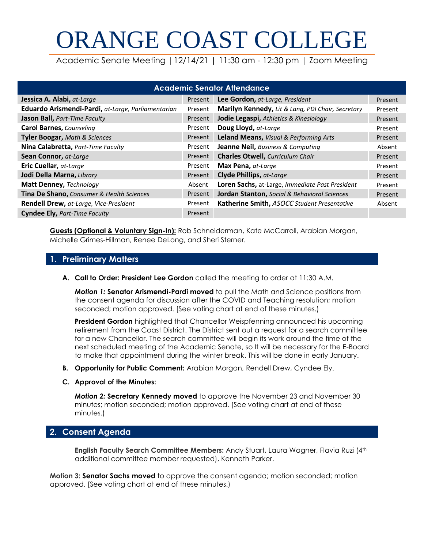# ORANGE COAST COLLEGE

Academic Senate Meeting |12/14/21 | 11:30 am - 12:30 pm | Zoom Meeting

| <b>Academic Senator Attendance</b>                 |         |                                                   |         |  |  |  |  |  |  |
|----------------------------------------------------|---------|---------------------------------------------------|---------|--|--|--|--|--|--|
| Jessica A. Alabi, at-Large                         | Present | Lee Gordon, at-Large, President                   | Present |  |  |  |  |  |  |
| Eduardo Arismendi-Pardi, at-Large, Parliamentarian | Present | Marilyn Kennedy, Lit & Lang, PDI Chair, Secretary | Present |  |  |  |  |  |  |
| Jason Ball, Part-Time Faculty                      | Present | Jodie Legaspi, Athletics & Kinesiology            | Present |  |  |  |  |  |  |
| <b>Carol Barnes, Counseling</b>                    | Present | Doug Lloyd, at-Large                              | Present |  |  |  |  |  |  |
| <b>Tyler Boogar, Math &amp; Sciences</b>           | Present | Leland Means, Visual & Performing Arts            | Present |  |  |  |  |  |  |
| Nina Calabretta, Part-Time Faculty                 | Present | Jeanne Neil, Business & Computing                 | Absent  |  |  |  |  |  |  |
| Sean Connor, at-Large                              | Present | <b>Charles Otwell, Curriculum Chair</b>           | Present |  |  |  |  |  |  |
| Eric Cuellar, at-Large                             | Present | Max Pena, at-Large                                | Present |  |  |  |  |  |  |
| Jodi Della Marna, Library                          | Present | Clyde Phillips, at-Large                          | Present |  |  |  |  |  |  |
| Matt Denney, Technology                            | Absent  | Loren Sachs, at-Large, Immediate Past President   | Present |  |  |  |  |  |  |
| Tina De Shano, Consumer & Health Sciences          | Present | Jordan Stanton, Social & Behavioral Sciences      | Present |  |  |  |  |  |  |
| Rendell Drew, at-Large, Vice-President             | Present | Katherine Smith, ASOCC Student Presentative       | Absent  |  |  |  |  |  |  |
| <b>Cyndee Ely, Part-Time Faculty</b>               | Present |                                                   |         |  |  |  |  |  |  |

**Guests (Optional & Voluntary Sign-In):** Rob Schneiderman, Kate McCarroll, Arabian Morgan, Michelle Grimes-Hillman, Renee DeLong, and Sheri Sterner.

# **1. Preliminary Matters**

**A. Call to Order: President Lee Gordon** called the meeting to order at 11:30 A.M.

*Motion 1:* **Senator Arismendi-Pardi moved** to pull the Math and Science positions from the consent agenda for discussion after the COVID and Teaching resolution; motion seconded; motion approved. [See voting chart at end of these minutes.)

**President Gordon** highlighted that Chancellor Weispfenning announced his upcoming retirement from the Coast District. The District sent out a request for a search committee for a new Chancellor. The search committee will begin its work around the time of the next scheduled meeting of the Academic Senate, so It will be necessary for the E-Board to make that appointment during the winter break. This will be done in early January.

**B. Opportunity for Public Comment:** Arabian Morgan, Rendell Drew, Cyndee Ely.

#### **C. Approval of the Minutes:**

*Motion 2:* **Secretary Kennedy moved** to approve the November 23 and November 30 minutes; motion seconded; motion approved. [See voting chart at end of these minutes.)

# **2. Consent Agenda**

**English Faculty Search Committee Members:** Andy Stuart, Laura Wagner, Flavia Ruzi (4th additional committee member requested), Kenneth Parker.

**Motion 3: Senator Sachs moved** to approve the consent agenda; motion seconded; motion approved. [See voting chart at end of these minutes.)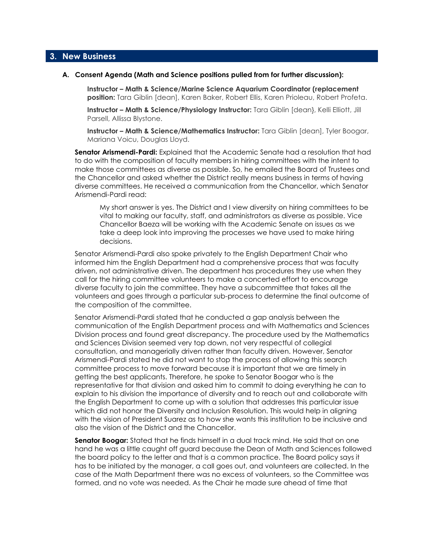#### **3. New Business**

#### **A. Consent Agenda (Math and Science positions pulled from for further discussion):**

**Instructor – Math & Science/Marine Science Aquarium Coordinator (replacement position:** Tara Giblin [dean], Karen Baker, Robert Ellis, Karen Prioleau, Robert Profeta.

**Instructor – Math & Science/Physiology Instructor:** Tara Giblin [dean}, Kelli Elliott, Jill Parsell, Allissa Blystone.

**Instructor – Math & Science/Mathematics Instructor:** Tara Giblin [dean], Tyler Boogar, Mariana Voicu, Douglas Lloyd.

**Senator Arismendi-Pardi:** Explained that the Academic Senate had a resolution that had to do with the composition of faculty members in hiring committees with the intent to make those committees as diverse as possible. So, he emailed the Board of Trustees and the Chancellor and asked whether the District really means business in terms of having diverse committees. He received a communication from the Chancellor, which Senator Arismendi-Pardi read:

My short answer is yes. The District and I view diversity on hiring committees to be vital to making our faculty, staff, and administrators as diverse as possible. Vice Chancellor Baeza will be working with the Academic Senate on issues as we take a deep look into improving the processes we have used to make hiring decisions.

Senator Arismendi-Pardi also spoke privately to the English Department Chair who informed him the English Department had a comprehensive process that was faculty driven, not administrative driven. The department has procedures they use when they call for the hiring committee volunteers to make a concerted effort to encourage diverse faculty to join the committee. They have a subcommittee that takes all the volunteers and goes through a particular sub-process to determine the final outcome of the composition of the committee.

Senator Arismendi-Pardi stated that he conducted a gap analysis between the communication of the English Department process and with Mathematics and Sciences Division process and found great discrepancy. The procedure used by the Mathematics and Sciences Division seemed very top down, not very respectful of collegial consultation, and managerially driven rather than faculty driven. However, Senator Arismendi-Pardi stated he did not want to stop the process of allowing this search committee process to move forward because it is important that we are timely in getting the best applicants. Therefore, he spoke to Senator Boogar who is the representative for that division and asked him to commit to doing everything he can to explain to his division the importance of diversity and to reach out and collaborate with the English Department to come up with a solution that addresses this particular issue which did not honor the Diversity and Inclusion Resolution. This would help in aligning with the vision of President Suarez as to how she wants this institution to be inclusive and also the vision of the District and the Chancellor.

**Senator Boogar:** Stated that he finds himself in a dual track mind. He said that on one hand he was a little caught off guard because the Dean of Math and Sciences followed the board policy to the letter and that is a common practice. The Board policy says it has to be initiated by the manager, a call goes out, and volunteers are collected. In the case of the Math Department there was no excess of volunteers, so the Committee was formed, and no vote was needed. As the Chair he made sure ahead of time that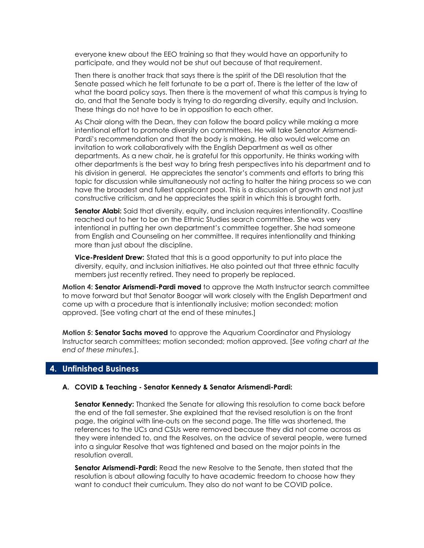everyone knew about the EEO training so that they would have an opportunity to participate, and they would not be shut out because of that requirement.

Then there is another track that says there is the spirit of the DEI resolution that the Senate passed which he felt fortunate to be a part of. There is the letter of the law of what the board policy says. Then there is the movement of what this campus is trying to do, and that the Senate body is trying to do regarding diversity, equity and Inclusion. These things do not have to be in opposition to each other.

As Chair along with the Dean, they can follow the board policy while making a more intentional effort to promote diversity on committees. He will take Senator Arismendi-Pardi's recommendation and that the body is making. He also would welcome an invitation to work collaboratively with the English Department as well as other departments. As a new chair, he is grateful for this opportunity. He thinks working with other departments is the best way to bring fresh perspectives into his department and to his division in general. He appreciates the senator's comments and efforts to bring this topic for discussion while simultaneously not acting to halter the hiring process so we can have the broadest and fullest applicant pool. This is a discussion of growth and not just constructive criticism, and he appreciates the spirit in which this is brought forth.

**Senator Alabi:** Said that diversity, equity, and inclusion requires intentionality. Coastline reached out to her to be on the Ethnic Studies search committee. She was very intentional in putting her own department's committee together. She had someone from English and Counseling on her committee. It requires intentionality and thinking more than just about the discipline.

**Vice-President Drew:** Stated that this is a good opportunity to put into place the diversity, equity, and inclusion initiatives. He also pointed out that three ethnic faculty members just recently retired. They need to properly be replaced.

**Motion 4: Senator Arismendi-Pardi moved** to approve the Math Instructor search committee to move forward but that Senator Boogar will work closely with the English Department and come up with a procedure that is intentionally inclusive; motion seconded; motion approved. [See voting chart at the end of these minutes.]

**Motion 5: Senator Sachs moved** to approve the Aquarium Coordinator and Physiology Instructor search committees; motion seconded; motion approved. [*See voting chart at the end of these minutes.*].

#### **4. Unfinished Business**

#### **A. COVID & Teaching - Senator Kennedy & Senator Arismendi-Pardi:**

**Senator Kennedy:** Thanked the Senate for allowing this resolution to come back before the end of the fall semester. She explained that the revised resolution is on the front page, the original with line-outs on the second page. The title was shortened, the references to the UCs and CSUs were removed because they did not come across as they were intended to, and the Resolves, on the advice of several people, were turned into a singular Resolve that was tightened and based on the major points in the resolution overall.

**Senator Arismendi-Pardi:** Read the new Resolve to the Senate, then stated that the resolution is about allowing faculty to have academic freedom to choose how they want to conduct their curriculum. They also do not want to be COVID police.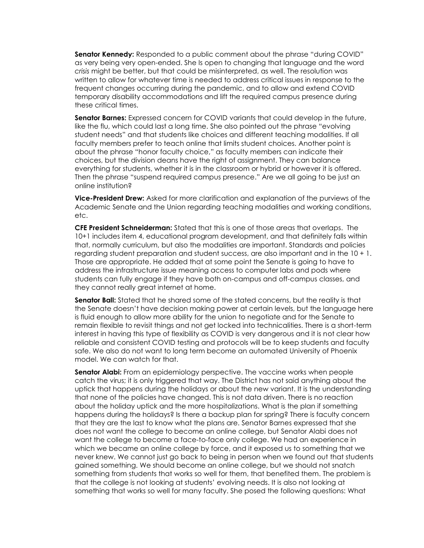**Senator Kennedy:** Responded to a public comment about the phrase "during COVID" as very being very open-ended. She Is open to changing that language and the word *crisis* might be better, but that could be misinterpreted, as well. The resolution was written to allow for whatever time is needed to address critical issues in response to the frequent changes occurring during the pandemic, and to allow and extend COVID temporary disability accommodations and lift the required campus presence during these critical times.

**Senator Barnes:** Expressed concern for COVID variants that could develop in the future, like the flu, which could last a long time. She also pointed out the phrase "evolving student needs" and that students like choices and different teaching modalities. If all faculty members prefer to teach online that limits student choices. Another point is about the phrase "honor faculty choice," as faculty members can indicate their choices, but the division deans have the right of assignment. They can balance everything for students, whether it is in the classroom or hybrid or however it is offered. Then the phrase "suspend required campus presence." Are we all going to be just an online institution?

**Vice-President Drew:** Asked for more clarification and explanation of the purviews of the Academic Senate and the Union regarding teaching modalities and working conditions, etc.

**CFE President Schneiderman:** Stated that this is one of those areas that overlaps. The 10+1 includes item 4, educational program development, and that definitely falls within that, normally curriculum, but also the modalities are important. Standards and policies regarding student preparation and student success, are also important and in the 10 + 1. Those are appropriate. He added that at some point the Senate is going to have to address the infrastructure issue meaning access to computer labs and pods where students can fully engage if they have both on-campus and off-campus classes, and they cannot really great internet at home.

**Senator Ball:** Stated that he shared some of the stated concerns, but the reality is that the Senate doesn't have decision making power at certain levels, but the language here is fluid enough to allow more ability for the union to negotiate and for the Senate to remain flexible to revisit things and not get locked into technicalities. There is a short-term interest in having this type of flexibility as COVID is very dangerous and it is not clear how reliable and consistent COVID testing and protocols will be to keep students and faculty safe. We also do not want to long term become an automated University of Phoenix model. We can watch for that.

**Senator Alabi:** From an epidemiology perspective. The vaccine works when people catch the virus; it is only triggered that way. The District has not said anything about the uptick that happens during the holidays or about the new variant. It is the understanding that none of the policies have changed. This is not data driven. There is no reaction about the holiday uptick and the more hospitalizations. What is the plan if something happens during the holidays? Is there a backup plan for spring? There is faculty concern that they are the last to know what the plans are. Senator Barnes expressed that she does not want the college to become an online college, but Senator Alabi does not want the college to become a face-to-face only college. We had an experience in which we became an online college by force, and it exposed us to something that we never knew. We cannot just go back to being in person when we found out that students gained something. We should become an online college, but we should not snatch something from students that works so well for them, that benefited them. The problem is that the college is not looking at students' evolving needs. It is also not looking at something that works so well for many faculty. She posed the following questions: What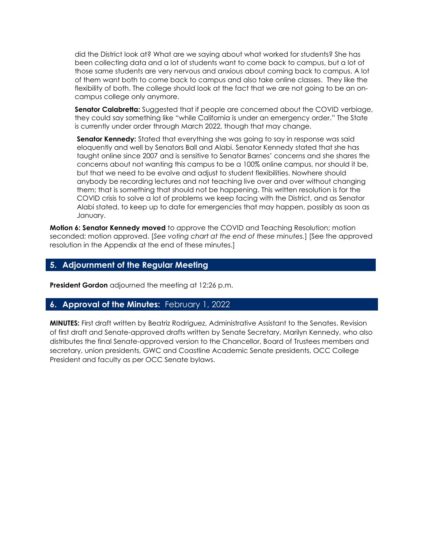did the District look at? What are we saying about what worked for students? She has been collecting data and a lot of students want to come back to campus, but a lot of those same students are very nervous and anxious about coming back to campus. A lot of them want both to come back to campus and also take online classes. They like the flexibility of both. The college should look at the fact that we are not going to be an oncampus college only anymore.

**Senator Calabretta:** Suggested that if people are concerned about the COVID verbiage, they could say something like "while California is under an emergency order." The State is currently under order through March 2022, though that may change.

**Senator Kennedy:** Stated that everything she was going to say in response was said eloquently and well by Senators Ball and Alabi. Senator Kennedy stated that she has taught online since 2007 and is sensitive to Senator Barnes' concerns and she shares the concerns about not wanting this campus to be a 100% online campus, nor should it be, but that we need to be evolve and adjust to student flexibilities. Nowhere should anybody be recording lectures and not teaching live over and over without changing them; that is something that should not be happening. This written resolution is for the COVID crisis to solve a lot of problems we keep facing with the District, and as Senator Alabi stated, to keep up to date for emergencies that may happen, possibly as soon as January.

**Motion 6: Senator Kennedy moved** to approve the COVID and Teaching Resolution; motion seconded; motion approved. [*See voting chart at the end of these minutes.*] [See the approved resolution in the Appendix at the end of these minutes.]

## **5. Adjournment of the Regular Meeting**

**President Gordon** adjourned the meeting at 12:26 p.m.

## **6. Approval of the Minutes:** February 1, 2022

**MINUTES:** First draft written by Beatriz Rodriguez, Administrative Assistant to the Senates. Revision of first draft and Senate-approved drafts written by Senate Secretary, Marilyn Kennedy, who also distributes the final Senate-approved version to the Chancellor, Board of Trustees members and secretary, union presidents, GWC and Coastline Academic Senate presidents, OCC College President and faculty as per OCC Senate bylaws.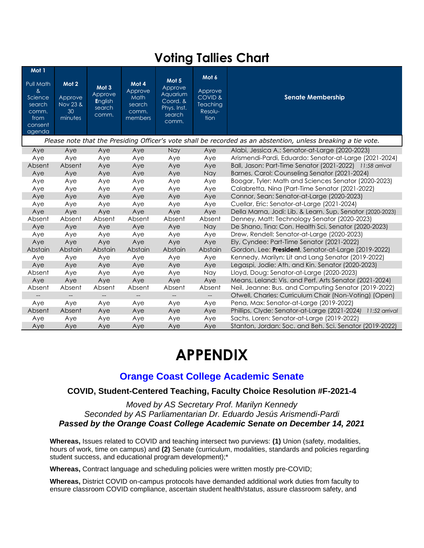# **Voting Tallies Chart**

| Mot 1<br>Pull Math<br>$\alpha$<br>Science<br>search<br>comm.                                                  | Mot 2<br>Approve<br>Nov 23 &<br>30 | Mot 3<br>Approve<br>English<br>search<br>comm. | Mot 4<br>Approve<br>Math<br>search<br>comm. | Mot <sub>5</sub><br>Approve<br>Aquarium<br>Coord, &<br>Phys. Inst.<br>search | Mot 6<br>Approve<br><b>COVID &amp;</b><br>Teaching<br>Resolu- | <b>Senate Membership</b>                                       |  |  |
|---------------------------------------------------------------------------------------------------------------|------------------------------------|------------------------------------------------|---------------------------------------------|------------------------------------------------------------------------------|---------------------------------------------------------------|----------------------------------------------------------------|--|--|
| from<br>consent<br>agenda                                                                                     | minutes                            |                                                | members                                     | comm.                                                                        | tion                                                          |                                                                |  |  |
| Please note that the Presiding Officer's vote shall be recorded as an abstention, unless breaking a tie vote. |                                    |                                                |                                             |                                                                              |                                                               |                                                                |  |  |
| Aye                                                                                                           | Aye                                | Aye                                            | Aye                                         | <b>Nay</b>                                                                   | Aye                                                           | Alabi, Jessica A.: Senator-at-Large (2020-2023)                |  |  |
| Aye                                                                                                           | Aye                                | Aye                                            | Aye                                         | Aye                                                                          | Aye                                                           | Arismendi-Pardi, Eduardo: Senator-at-Large (2021-2024)         |  |  |
| Absent                                                                                                        | Absent                             | Aye                                            | Aye                                         | Aye                                                                          | Aye                                                           | Ball, Jason: Part-Time Senator (2021-2022) 11:58 arrival       |  |  |
| Aye                                                                                                           | Aye                                | Aye                                            | Aye                                         | Aye                                                                          | <b>Nay</b>                                                    | Barnes, Carol: Counseling Senator (2021-2024)                  |  |  |
| Aye                                                                                                           | Aye                                | Aye                                            | Aye                                         | Aye                                                                          | Aye                                                           | Boogar, Tyler: Math and Sciences Senator (2020-2023)           |  |  |
| Aye                                                                                                           | Aye                                | Aye                                            | Aye                                         | Aye                                                                          | Aye                                                           | Calabretta, Nina (Part-Time Senator (2021-2022)                |  |  |
| Aye                                                                                                           | Aye                                | Aye                                            | Aye                                         | Aye                                                                          | Aye                                                           | Connor, Sean: Senator-at-Large (2020-2023)                     |  |  |
| Aye                                                                                                           | Aye                                | Aye                                            | Aye                                         | Aye                                                                          | Aye                                                           | Cuellar, Eric: Senator-at-Large (2021-2024)                    |  |  |
| Aye                                                                                                           | Aye                                | Aye                                            | Aye                                         | Aye                                                                          | Aye                                                           | Della Marna, Jodi: Lib. & Learn. Sup. Senator (2020-2023)      |  |  |
| Absent                                                                                                        | Absent                             | Absent                                         | Absent                                      | Absent                                                                       | Absent                                                        | Denney, Matt: Technology Senator (2020-2023)                   |  |  |
| Aye                                                                                                           | Aye                                | Aye                                            | Aye                                         | Aye                                                                          | <b>Nay</b>                                                    | De Shano, Tina: Con. Health Sci. Senator (2020-2023)           |  |  |
| Aye                                                                                                           | Aye                                | Aye                                            | Aye                                         | Aye                                                                          | Aye                                                           | Drew, Rendell: Senator-at-Large (2020-2023)                    |  |  |
| Aye                                                                                                           | Aye                                | Aye                                            | Aye                                         | Aye                                                                          | Aye                                                           | Ely, Cyndee: Part-Time Senator (2021-2022)                     |  |  |
| Abstain                                                                                                       | Abstain                            | Abstain                                        | Abstain                                     | Abstain                                                                      | Abstain                                                       | Gordon, Lee: President, Senator-at-Large (2019-2022)           |  |  |
| Aye                                                                                                           | Aye                                | Aye                                            | Aye                                         | Aye                                                                          | Aye                                                           | Kennedy, Marilyn: Lit and Lang Senator (2019-2022)             |  |  |
| Aye                                                                                                           | Aye                                | Aye                                            | Aye                                         | Aye                                                                          | Aye                                                           | Legaspi, Jodie: Ath. and Kin. Senator (2020-2023)              |  |  |
| Absent                                                                                                        | Aye                                | Aye                                            | Aye                                         | Aye                                                                          | Nay                                                           | Lloyd, Doug: Senator-at-Large (2020-2023)                      |  |  |
| Aye                                                                                                           | Aye                                | Aye                                            | Aye                                         | Aye                                                                          | Aye                                                           | Means, Leland: Vis. and Perf. Arts Senator (2021-2024)         |  |  |
| Absent                                                                                                        | Absent                             | Absent                                         | Absent                                      | Absent                                                                       | Absent                                                        | Neil, Jeanne: Bus. and Computing Senator (2019-2022)           |  |  |
|                                                                                                               |                                    |                                                |                                             |                                                                              |                                                               | Otwell, Charles: Curriculum Chair (Non-Voting) (Open)          |  |  |
| Aye                                                                                                           | Aye                                | Aye                                            | Aye                                         | Aye                                                                          | Aye                                                           | Pena, Max: Senator-at-Large (2019-2022)                        |  |  |
| Absent                                                                                                        | Absent                             | Aye                                            | Aye                                         | Aye                                                                          | Aye                                                           | Phillips, Clyde: Senator-at-Large (2021-2024)<br>11:52 arrival |  |  |
| Aye                                                                                                           | Aye                                | Aye                                            | Aye                                         | Aye                                                                          | Aye                                                           | Sachs, Loren: Senator-at-Large (2019-2022)                     |  |  |
| Aye                                                                                                           | Aye                                | Aye                                            | Aye                                         | Aye                                                                          | Aye                                                           | Stanton, Jordan: Soc. and Beh. Sci. Senator (2019-2022)        |  |  |

# **APPENDIX**

# **Orange Coast College Academic Senate**

# **COVID, Student-Centered Teaching, Faculty Choice Resolution #F-2021-4**

*Moved by AS Secretary Prof. Marilyn Kennedy Seconded by AS Parliamentarian Dr. Eduardo Jesús Arismendi-Pardi Passed by the Orange Coast College Academic Senate on December 14, 2021*

**Whereas,** Issues related to COVID and teaching intersect two purviews: **(1)** Union (safety, modalities, hours of work, time on campus) and **(2)** Senate (curriculum, modalities, standards and policies regarding student success, and educational program development);\*

**Whereas,** Contract language and scheduling policies were written mostly pre-COVID;

**Whereas,** District COVID on-campus protocols have demanded additional work duties from faculty to ensure classroom COVID compliance, ascertain student health/status, assure classroom safety, and